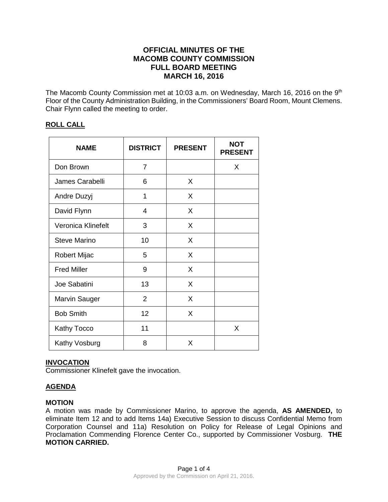# **OFFICIAL MINUTES OF THE MACOMB COUNTY COMMISSION FULL BOARD MEETING MARCH 16, 2016**

The Macomb County Commission met at 10:03 a.m. on Wednesday, March 16, 2016 on the 9<sup>th</sup> Floor of the County Administration Building, in the Commissioners' Board Room, Mount Clemens. Chair Flynn called the meeting to order.

# **ROLL CALL**

| <b>NAME</b>          | <b>DISTRICT</b> | <b>PRESENT</b> | <b>NOT</b><br><b>PRESENT</b> |
|----------------------|-----------------|----------------|------------------------------|
| Don Brown            | 7               |                | X                            |
| James Carabelli      | 6               | X              |                              |
| Andre Duzyj          | 1               | X              |                              |
| David Flynn          | 4               | X              |                              |
| Veronica Klinefelt   | 3               | X              |                              |
| Steve Marino         | 10              | X              |                              |
| Robert Mijac         | 5               | X              |                              |
| <b>Fred Miller</b>   | 9               | X              |                              |
| Joe Sabatini         | 13              | X              |                              |
| <b>Marvin Sauger</b> | $\overline{2}$  | X              |                              |
| <b>Bob Smith</b>     | 12              | X              |                              |
| Kathy Tocco          | 11              |                | X                            |
| Kathy Vosburg        | 8               | X              |                              |

# **INVOCATION**

Commissioner Klinefelt gave the invocation.

# **AGENDA**

# **MOTION**

A motion was made by Commissioner Marino, to approve the agenda, **AS AMENDED,** to eliminate Item 12 and to add Items 14a) Executive Session to discuss Confidential Memo from Corporation Counsel and 11a) Resolution on Policy for Release of Legal Opinions and Proclamation Commending Florence Center Co., supported by Commissioner Vosburg. **THE MOTION CARRIED.**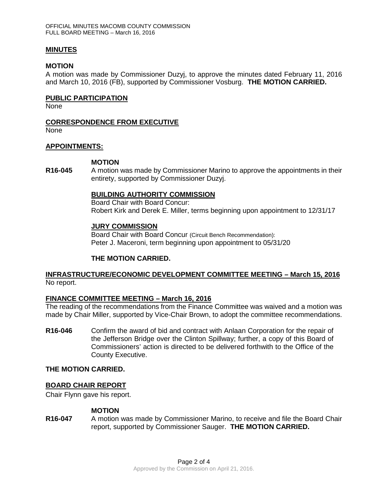### **MINUTES**

#### **MOTION**

A motion was made by Commissioner Duzyj, to approve the minutes dated February 11, 2016 and March 10, 2016 (FB), supported by Commissioner Vosburg. **THE MOTION CARRIED.** 

### **PUBLIC PARTICIPATION**

None

### **CORRESPONDENCE FROM EXECUTIVE**

None

### **APPOINTMENTS:**

#### **MOTION**

**R16-045** A motion was made by Commissioner Marino to approve the appointments in their entirety, supported by Commissioner Duzyj.

### **BUILDING AUTHORITY COMMISSION**

Board Chair with Board Concur: Robert Kirk and Derek E. Miller, terms beginning upon appointment to 12/31/17

### **JURY COMMISSION**

Board Chair with Board Concur (Circuit Bench Recommendation): Peter J. Maceroni, term beginning upon appointment to 05/31/20

# **THE MOTION CARRIED.**

# **INFRASTRUCTURE/ECONOMIC DEVELOPMENT COMMITTEE MEETING – March 15, 2016** No report.

# **FINANCE COMMITTEE MEETING – March 16, 2016**

The reading of the recommendations from the Finance Committee was waived and a motion was made by Chair Miller, supported by Vice-Chair Brown, to adopt the committee recommendations.

**R16-046** Confirm the award of bid and contract with Anlaan Corporation for the repair of the Jefferson Bridge over the Clinton Spillway; further, a copy of this Board of Commissioners' action is directed to be delivered forthwith to the Office of the County Executive.

# **THE MOTION CARRIED.**

#### **BOARD CHAIR REPORT**

Chair Flynn gave his report.

#### **MOTION**

**R16-047** A motion was made by Commissioner Marino, to receive and file the Board Chair report, supported by Commissioner Sauger. **THE MOTION CARRIED.**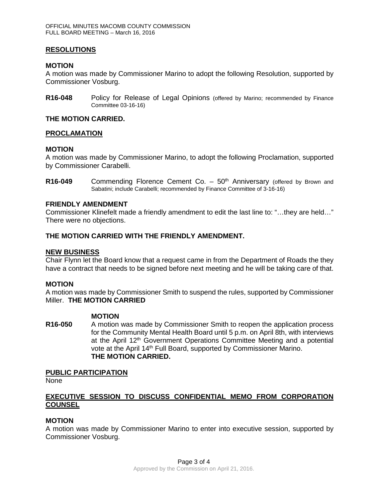# **RESOLUTIONS**

#### **MOTION**

A motion was made by Commissioner Marino to adopt the following Resolution, supported by Commissioner Vosburg.

**R16-048** Policy for Release of Legal Opinions (offered by Marino; recommended by Finance Committee 03-16-16)

### **THE MOTION CARRIED.**

#### **PROCLAMATION**

### **MOTION**

A motion was made by Commissioner Marino, to adopt the following Proclamation, supported by Commissioner Carabelli.

**R16-049** Commending Florence Cement Co. – 50<sup>th</sup> Anniversary (offered by Brown and Sabatini; include Carabelli; recommended by Finance Committee of 3-16-16)

### **FRIENDLY AMENDMENT**

Commissioner Klinefelt made a friendly amendment to edit the last line to: "…they are held…" There were no objections.

### **THE MOTION CARRIED WITH THE FRIENDLY AMENDMENT.**

### **NEW BUSINESS**

Chair Flynn let the Board know that a request came in from the Department of Roads the they have a contract that needs to be signed before next meeting and he will be taking care of that.

#### **MOTION**

A motion was made by Commissioner Smith to suspend the rules, supported by Commissioner Miller. **THE MOTION CARRIED**

#### **MOTION**

**R16-050** A motion was made by Commissioner Smith to reopen the application process for the Community Mental Health Board until 5 p.m. on April 8th, with interviews at the April 12th Government Operations Committee Meeting and a potential vote at the April 14<sup>th</sup> Full Board, supported by Commissioner Marino. **THE MOTION CARRIED.**

#### **PUBLIC PARTICIPATION**

None

# **EXECUTIVE SESSION TO DISCUSS CONFIDENTIAL MEMO FROM CORPORATION COUNSEL**

#### **MOTION**

A motion was made by Commissioner Marino to enter into executive session, supported by Commissioner Vosburg.